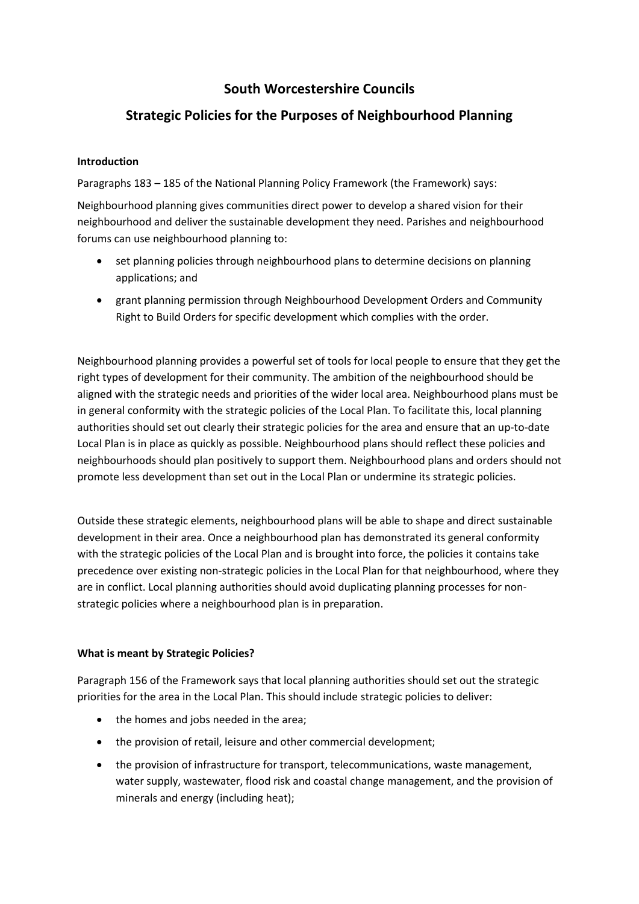## **South Worcestershire Councils**

# **Strategic Policies for the Purposes of Neighbourhood Planning**

### **Introduction**

Paragraphs 183 – 185 of the National Planning Policy Framework (the Framework) says:

Neighbourhood planning gives communities direct power to develop a shared vision for their neighbourhood and deliver the sustainable development they need. Parishes and neighbourhood forums can use neighbourhood planning to:

- set planning policies through neighbourhood plans to determine decisions on planning applications; and
- grant planning permission through Neighbourhood Development Orders and Community Right to Build Orders for specific development which complies with the order.

Neighbourhood planning provides a powerful set of tools for local people to ensure that they get the right types of development for their community. The ambition of the neighbourhood should be aligned with the strategic needs and priorities of the wider local area. Neighbourhood plans must be in general conformity with the strategic policies of the Local Plan. To facilitate this, local planning authorities should set out clearly their strategic policies for the area and ensure that an up-to-date Local Plan is in place as quickly as possible. Neighbourhood plans should reflect these policies and neighbourhoods should plan positively to support them. Neighbourhood plans and orders should not promote less development than set out in the Local Plan or undermine its strategic policies.

Outside these strategic elements, neighbourhood plans will be able to shape and direct sustainable development in their area. Once a neighbourhood plan has demonstrated its general conformity with the strategic policies of the Local Plan and is brought into force, the policies it contains take precedence over existing non-strategic policies in the Local Plan for that neighbourhood, where they are in conflict. Local planning authorities should avoid duplicating planning processes for nonstrategic policies where a neighbourhood plan is in preparation.

### **What is meant by Strategic Policies?**

Paragraph 156 of the Framework says that local planning authorities should set out the strategic priorities for the area in the Local Plan. This should include strategic policies to deliver:

- the homes and jobs needed in the area;
- the provision of retail, leisure and other commercial development;
- the provision of infrastructure for transport, telecommunications, waste management, water supply, wastewater, flood risk and coastal change management, and the provision of minerals and energy (including heat);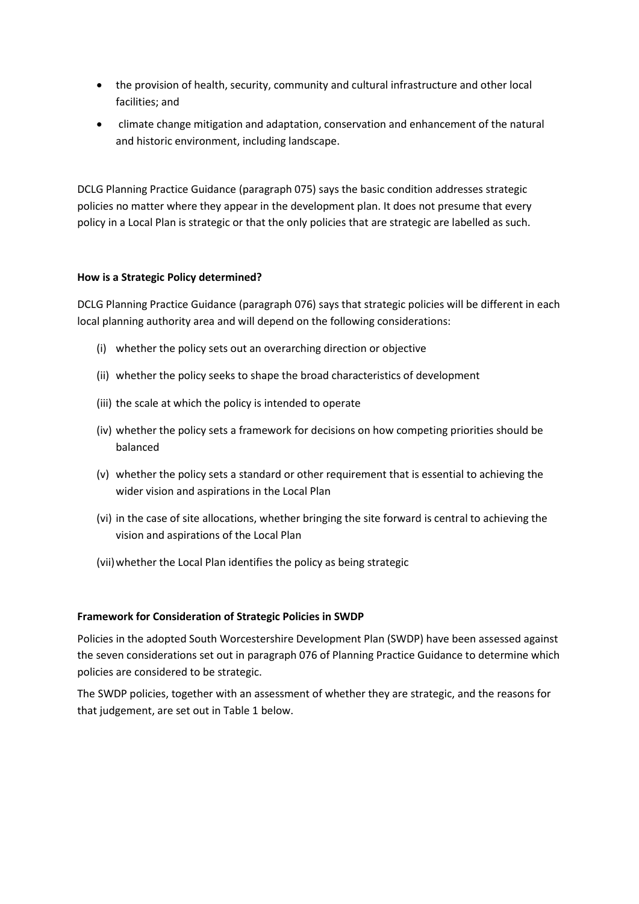- the provision of health, security, community and cultural infrastructure and other local facilities; and
- climate change mitigation and adaptation, conservation and enhancement of the natural and historic environment, including landscape.

DCLG Planning Practice Guidance (paragraph 075) says the basic condition addresses strategic policies no matter where they appear in the development plan. It does not presume that every policy in a Local Plan is strategic or that the only policies that are strategic are labelled as such.

#### **How is a Strategic Policy determined?**

DCLG Planning Practice Guidance (paragraph 076) says that strategic policies will be different in each local planning authority area and will depend on the following considerations:

- (i) whether the policy sets out an overarching direction or objective
- (ii) whether the policy seeks to shape the broad characteristics of development
- (iii) the scale at which the policy is intended to operate
- (iv) whether the policy sets a framework for decisions on how competing priorities should be balanced
- (v) whether the policy sets a standard or other requirement that is essential to achieving the wider vision and aspirations in the Local Plan
- (vi) in the case of site allocations, whether bringing the site forward is central to achieving the vision and aspirations of the Local Plan
- (vii)whether the Local Plan identifies the policy as being strategic

#### **Framework for Consideration of Strategic Policies in SWDP**

Policies in the adopted South Worcestershire Development Plan (SWDP) have been assessed against the seven considerations set out in paragraph 076 of Planning Practice Guidance to determine which policies are considered to be strategic.

The SWDP policies, together with an assessment of whether they are strategic, and the reasons for that judgement, are set out in Table 1 below.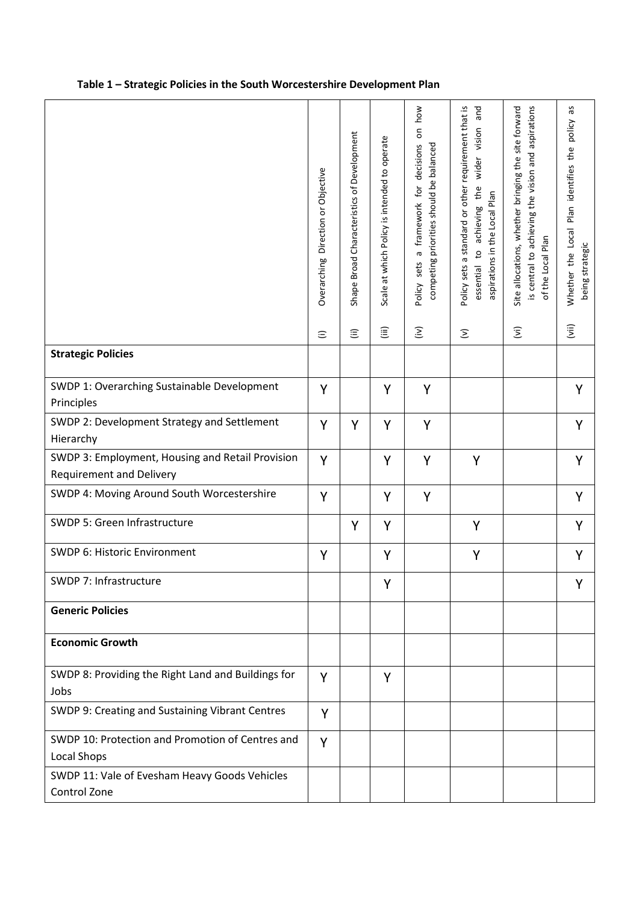|  |  |  | Table 1 – Strategic Policies in the South Worcestershire Development Plan |
|--|--|--|---------------------------------------------------------------------------|
|--|--|--|---------------------------------------------------------------------------|

|                                                                                     | Overarching Direction or Objective | Shape Broad Characteristics of Development | Scale at which Policy is intended to operate | how<br>δ<br>competing priorities should be balanced<br>decisions<br>framework for<br>σ<br>sets<br>Policy | Policy sets a standard or other requirement that is<br>and<br>wider vision<br>the<br>aspirations in the Local Plan<br>achieving<br>S,<br>essential | Site allocations, whether bringing the site forward<br>is central to achieving the vision and aspirations<br>of the Local Plan | δp<br>Whether the Local Plan identifies the policy<br>being strategic |
|-------------------------------------------------------------------------------------|------------------------------------|--------------------------------------------|----------------------------------------------|----------------------------------------------------------------------------------------------------------|----------------------------------------------------------------------------------------------------------------------------------------------------|--------------------------------------------------------------------------------------------------------------------------------|-----------------------------------------------------------------------|
|                                                                                     | $\widehat{=}$                      | $\widehat{\equiv}$                         | $\widehat{\mathbf{H}}$                       | $\widehat{\boldsymbol{\Sigma}}$                                                                          | $\mathfrak{D}$                                                                                                                                     | $\widehat{\boldsymbol{\Sigma}}$                                                                                                | $\overline{(\overline{\mathsf{v}}\hspace{0.5pt} \hspace{0.5pt}})$     |
| <b>Strategic Policies</b>                                                           |                                    |                                            |                                              |                                                                                                          |                                                                                                                                                    |                                                                                                                                |                                                                       |
| SWDP 1: Overarching Sustainable Development<br>Principles                           | Y                                  |                                            | Y                                            | Y                                                                                                        |                                                                                                                                                    |                                                                                                                                | Y                                                                     |
| SWDP 2: Development Strategy and Settlement<br>Hierarchy                            | Y                                  | Y                                          | Υ                                            | Y                                                                                                        |                                                                                                                                                    |                                                                                                                                | Y                                                                     |
| SWDP 3: Employment, Housing and Retail Provision<br><b>Requirement and Delivery</b> | Y                                  |                                            | Υ                                            | Y                                                                                                        | Y                                                                                                                                                  |                                                                                                                                | Υ                                                                     |
| SWDP 4: Moving Around South Worcestershire                                          | Y                                  |                                            | Y                                            | Υ                                                                                                        |                                                                                                                                                    |                                                                                                                                | Υ                                                                     |
| SWDP 5: Green Infrastructure                                                        |                                    | Y                                          | Υ                                            |                                                                                                          | Y                                                                                                                                                  |                                                                                                                                | Y                                                                     |
| SWDP 6: Historic Environment                                                        | Y                                  |                                            | Y                                            |                                                                                                          | Y                                                                                                                                                  |                                                                                                                                | Y                                                                     |
| SWDP 7: Infrastructure                                                              |                                    |                                            | Υ                                            |                                                                                                          |                                                                                                                                                    |                                                                                                                                |                                                                       |
| <b>Generic Policies</b>                                                             |                                    |                                            |                                              |                                                                                                          |                                                                                                                                                    |                                                                                                                                |                                                                       |
| <b>Economic Growth</b>                                                              |                                    |                                            |                                              |                                                                                                          |                                                                                                                                                    |                                                                                                                                |                                                                       |
| SWDP 8: Providing the Right Land and Buildings for<br>Jobs                          | Y                                  |                                            | Υ                                            |                                                                                                          |                                                                                                                                                    |                                                                                                                                |                                                                       |
| SWDP 9: Creating and Sustaining Vibrant Centres                                     | Y                                  |                                            |                                              |                                                                                                          |                                                                                                                                                    |                                                                                                                                |                                                                       |
| SWDP 10: Protection and Promotion of Centres and<br><b>Local Shops</b>              | Y                                  |                                            |                                              |                                                                                                          |                                                                                                                                                    |                                                                                                                                |                                                                       |
| SWDP 11: Vale of Evesham Heavy Goods Vehicles<br>Control Zone                       |                                    |                                            |                                              |                                                                                                          |                                                                                                                                                    |                                                                                                                                |                                                                       |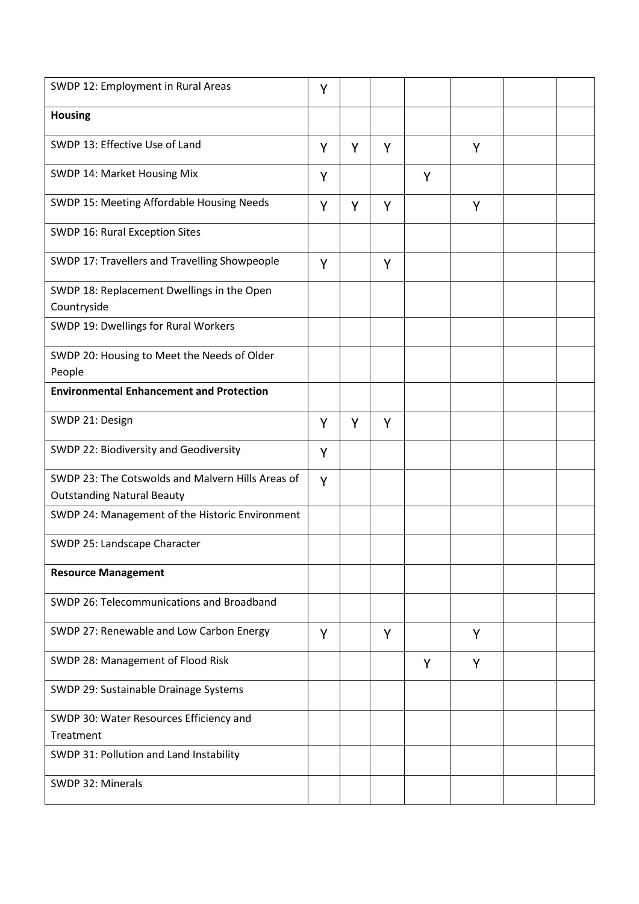| SWDP 12: Employment in Rural Areas                                                     | Υ |   |   |   |   |  |
|----------------------------------------------------------------------------------------|---|---|---|---|---|--|
| <b>Housing</b>                                                                         |   |   |   |   |   |  |
| SWDP 13: Effective Use of Land                                                         | Y | Y | Y |   | Y |  |
| SWDP 14: Market Housing Mix                                                            | Y |   |   | Y |   |  |
| SWDP 15: Meeting Affordable Housing Needs                                              | Y | Y | Y |   | Y |  |
| SWDP 16: Rural Exception Sites                                                         |   |   |   |   |   |  |
| SWDP 17: Travellers and Travelling Showpeople                                          | Y |   | Y |   |   |  |
| SWDP 18: Replacement Dwellings in the Open<br>Countryside                              |   |   |   |   |   |  |
| SWDP 19: Dwellings for Rural Workers                                                   |   |   |   |   |   |  |
| SWDP 20: Housing to Meet the Needs of Older<br>People                                  |   |   |   |   |   |  |
| <b>Environmental Enhancement and Protection</b>                                        |   |   |   |   |   |  |
| SWDP 21: Design                                                                        | Y | Y | Y |   |   |  |
| SWDP 22: Biodiversity and Geodiversity                                                 | Y |   |   |   |   |  |
| SWDP 23: The Cotswolds and Malvern Hills Areas of<br><b>Outstanding Natural Beauty</b> | Y |   |   |   |   |  |
| SWDP 24: Management of the Historic Environment                                        |   |   |   |   |   |  |
| SWDP 25: Landscape Character                                                           |   |   |   |   |   |  |
| <b>Resource Management</b>                                                             |   |   |   |   |   |  |
| SWDP 26: Telecommunications and Broadband                                              |   |   |   |   |   |  |
| SWDP 27: Renewable and Low Carbon Energy                                               | Y |   | Y |   | Y |  |
| SWDP 28: Management of Flood Risk                                                      |   |   |   | Y | Y |  |
| SWDP 29: Sustainable Drainage Systems                                                  |   |   |   |   |   |  |
| SWDP 30: Water Resources Efficiency and                                                |   |   |   |   |   |  |
| Treatment                                                                              |   |   |   |   |   |  |
| SWDP 31: Pollution and Land Instability                                                |   |   |   |   |   |  |
| SWDP 32: Minerals                                                                      |   |   |   |   |   |  |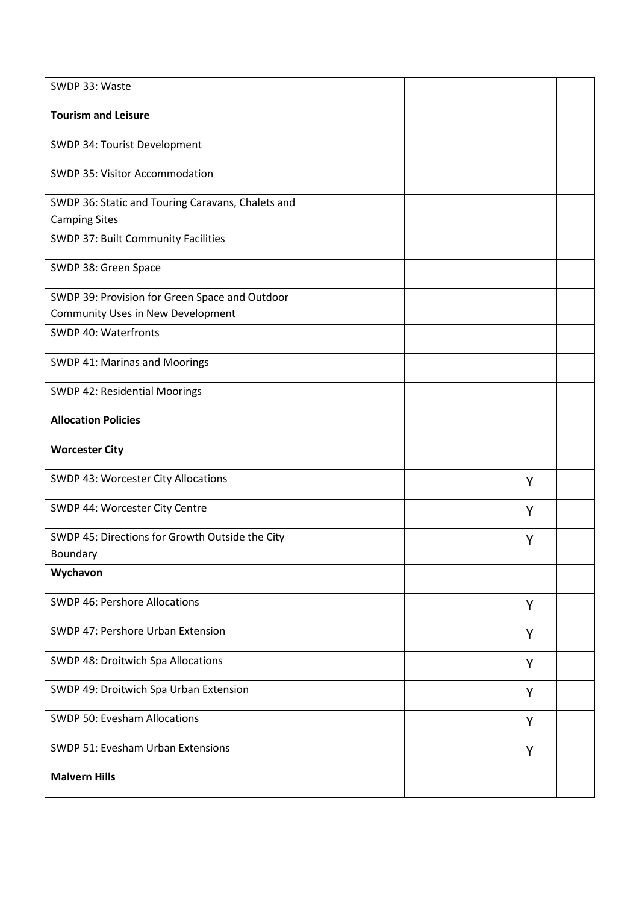| SWDP 33: Waste                                                                      |  |  |   |  |
|-------------------------------------------------------------------------------------|--|--|---|--|
| <b>Tourism and Leisure</b>                                                          |  |  |   |  |
| SWDP 34: Tourist Development                                                        |  |  |   |  |
| SWDP 35: Visitor Accommodation                                                      |  |  |   |  |
| SWDP 36: Static and Touring Caravans, Chalets and<br><b>Camping Sites</b>           |  |  |   |  |
| SWDP 37: Built Community Facilities                                                 |  |  |   |  |
| SWDP 38: Green Space                                                                |  |  |   |  |
| SWDP 39: Provision for Green Space and Outdoor<br>Community Uses in New Development |  |  |   |  |
| SWDP 40: Waterfronts                                                                |  |  |   |  |
| SWDP 41: Marinas and Moorings                                                       |  |  |   |  |
| SWDP 42: Residential Moorings                                                       |  |  |   |  |
| <b>Allocation Policies</b>                                                          |  |  |   |  |
|                                                                                     |  |  |   |  |
| <b>Worcester City</b>                                                               |  |  |   |  |
| SWDP 43: Worcester City Allocations                                                 |  |  | Y |  |
| SWDP 44: Worcester City Centre                                                      |  |  | Y |  |
| SWDP 45: Directions for Growth Outside the City<br>Boundary                         |  |  | Y |  |
| Wychavon                                                                            |  |  |   |  |
| <b>SWDP 46: Pershore Allocations</b>                                                |  |  | Y |  |
| SWDP 47: Pershore Urban Extension                                                   |  |  | Y |  |
| SWDP 48: Droitwich Spa Allocations                                                  |  |  | Y |  |
| SWDP 49: Droitwich Spa Urban Extension                                              |  |  | Y |  |
| SWDP 50: Evesham Allocations                                                        |  |  | Y |  |
| SWDP 51: Evesham Urban Extensions                                                   |  |  | Y |  |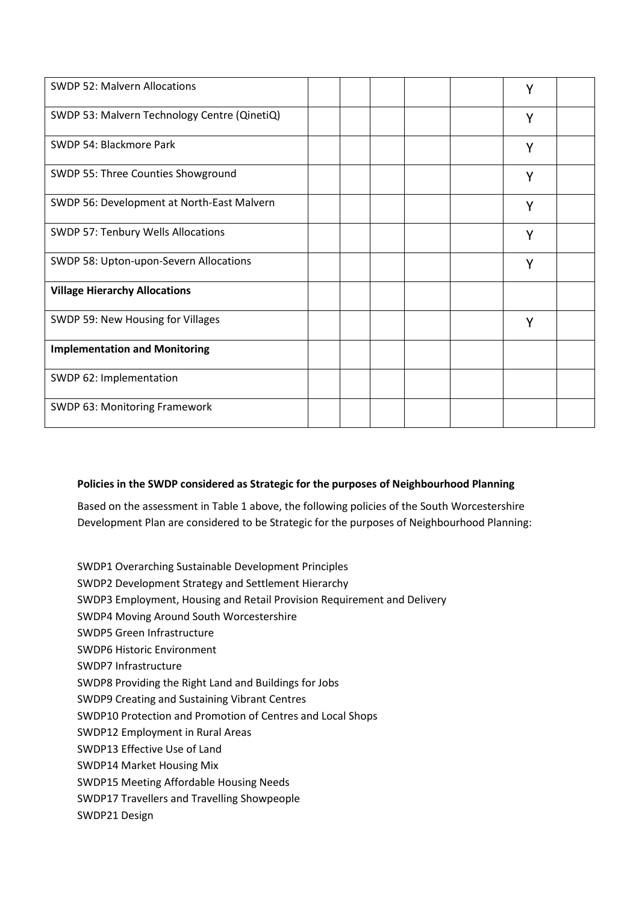| <b>SWDP 52: Malvern Allocations</b>          |  |  | Y |  |
|----------------------------------------------|--|--|---|--|
| SWDP 53: Malvern Technology Centre (QinetiQ) |  |  | Y |  |
| SWDP 54: Blackmore Park                      |  |  | Y |  |
| SWDP 55: Three Counties Showground           |  |  | Y |  |
| SWDP 56: Development at North-East Malvern   |  |  | Y |  |
| SWDP 57: Tenbury Wells Allocations           |  |  | Y |  |
| SWDP 58: Upton-upon-Severn Allocations       |  |  | Y |  |
| <b>Village Hierarchy Allocations</b>         |  |  |   |  |
| SWDP 59: New Housing for Villages            |  |  | Y |  |
| <b>Implementation and Monitoring</b>         |  |  |   |  |
| SWDP 62: Implementation                      |  |  |   |  |
| SWDP 63: Monitoring Framework                |  |  |   |  |

### **Policies in the SWDP considered as Strategic for the purposes of Neighbourhood Planning**

Based on the assessment in Table 1 above, the following policies of the South Worcestershire Development Plan are considered to be Strategic for the purposes of Neighbourhood Planning:

- SWDP1 Overarching Sustainable Development Principles
- SWDP2 Development Strategy and Settlement Hierarchy
- SWDP3 Employment, Housing and Retail Provision Requirement and Delivery
- SWDP4 Moving Around South Worcestershire
- SWDP5 Green Infrastructure
- SWDP6 Historic Environment
- SWDP7 Infrastructure
- SWDP8 Providing the Right Land and Buildings for Jobs
- SWDP9 Creating and Sustaining Vibrant Centres
- SWDP10 Protection and Promotion of Centres and Local Shops
- SWDP12 Employment in Rural Areas
- SWDP13 Effective Use of Land
- SWDP14 Market Housing Mix
- SWDP15 Meeting Affordable Housing Needs
- SWDP17 Travellers and Travelling Showpeople
- SWDP21 Design